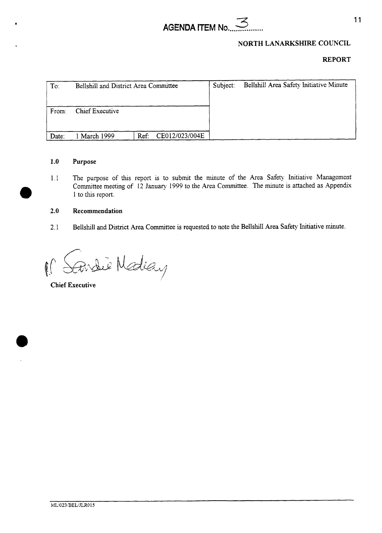



## **REPORT**

| To:   | Bellshill and District Area Committee |      |                | Subject: | Bellshill Area Safety Initiative Minute |
|-------|---------------------------------------|------|----------------|----------|-----------------------------------------|
| From: | Chief Executive                       |      |                |          |                                         |
| Date: | March 1999                            | Ref: | CE012/023/004E |          |                                         |

### **1.0 Purpose**

1.1 The purpose of this report is to submit the minute of the Area Safety Initiative Management Committee meeting of 12 January 1999 to the Area Committee. The minute is attached as Appendix **d)** 1 to *thls* report.

### **2.0 Recommendation**

2.1 Bellshill and District Area Committee is requested to note the Bellshill Area Safety Initiative minute.

Findie Nediay  $\mathbb{C}$ 

**Chief Executive**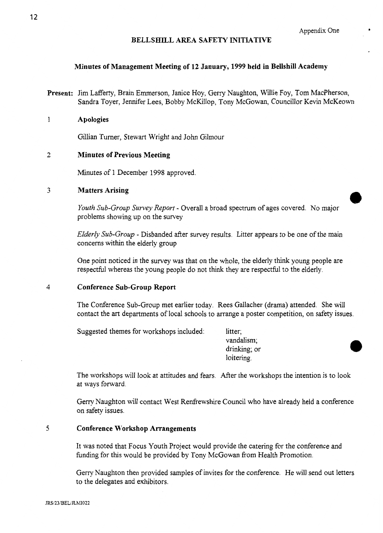## **BELLSHILL AREA SAFETY INITIATIVE**

### **Minutes of Management Meeting of 12 January, 1999 held in Bellshill Academy**

Present: Jim Lafferty, Brain Emmerson, Janice Hoy, Gerry Naughton, Willie Foy, Tom MacPherson, Sandra Toyer, Jennifer Lees, Bobby McKillop, Tony McGowan, Councillor Kevin McKeown

### **1 Apologies**

Gillian Turner, Stewart Wright and John Gilmour

## **2 Minutes of Previous Meeting**

Minutes of 1 December 1998 approved.

**1 1** Matters Arising<br> *Youth Sub-Group Survey Report* - Overall a broad spectrum of ages covered. No major problems showing up on the survey

*Elderly Sub-Group* - Disbanded after survey results. Litter appears to be one of the main concerns within the elderly group

One point noticed in the survey was that on the whole, the elderly think young people are respecthl whereas the young people do not think they are respecthl to the elderly.

### **4 Conference Sub-Group Report**

The Conference Sub-Group met earlier today. Rees Gallacher (drama) attended. She will contact the art departments of local schools to arrange a poster competition, on safety issues.

Suggested themes for workshops included: litter;

vandalism; drinking; or loitering.

The workshops will look at attitudes and fears. After the workshops the intention is to look at ways forward.

Geny Naughton will contact West Renfrewshire Council who have already held a conference on safety issues.

## **5 Conference Workshop Arrangements**

It was noted that Focus Youth Project would provide the catering for the conference and funding for this would be provided by Tony McGowan from Health Promotion.

Gerry Naughton then provided samples of invites for the conference. He will send out letters to the delegates and exhibitors.